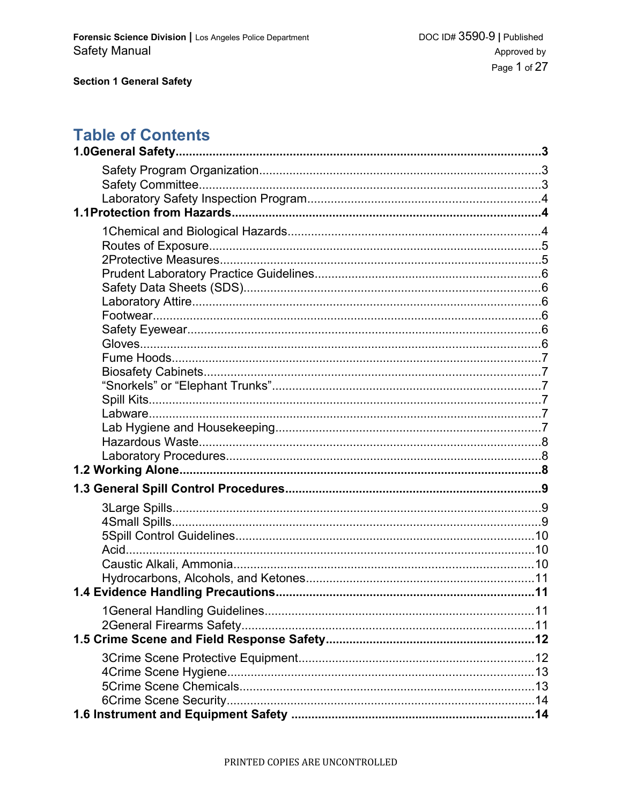# **Table of Contents**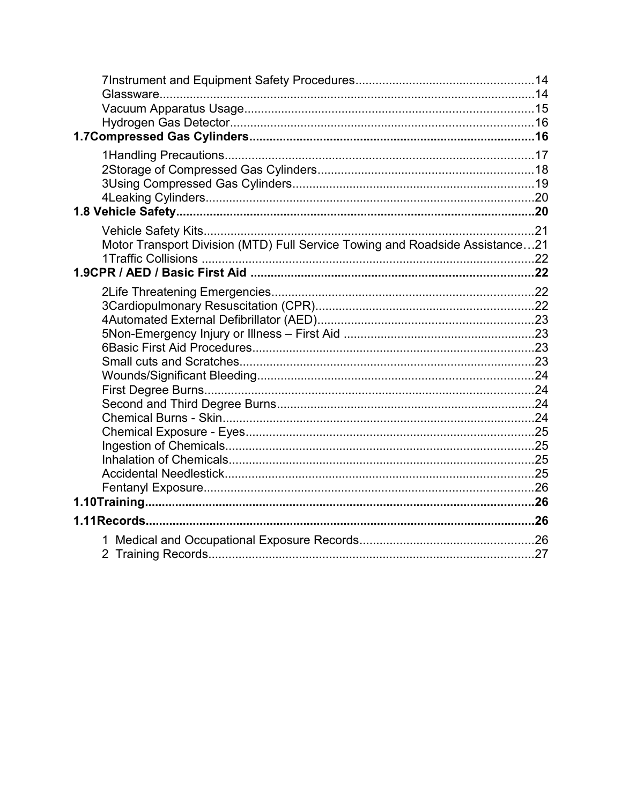| Motor Transport Division (MTD) Full Service Towing and Roadside Assistance21 |  |
|------------------------------------------------------------------------------|--|
|                                                                              |  |
|                                                                              |  |
|                                                                              |  |
|                                                                              |  |
|                                                                              |  |
|                                                                              |  |
|                                                                              |  |
|                                                                              |  |
|                                                                              |  |
|                                                                              |  |
|                                                                              |  |
|                                                                              |  |
|                                                                              |  |
|                                                                              |  |
|                                                                              |  |
|                                                                              |  |
|                                                                              |  |
|                                                                              |  |
|                                                                              |  |
| 1.                                                                           |  |
|                                                                              |  |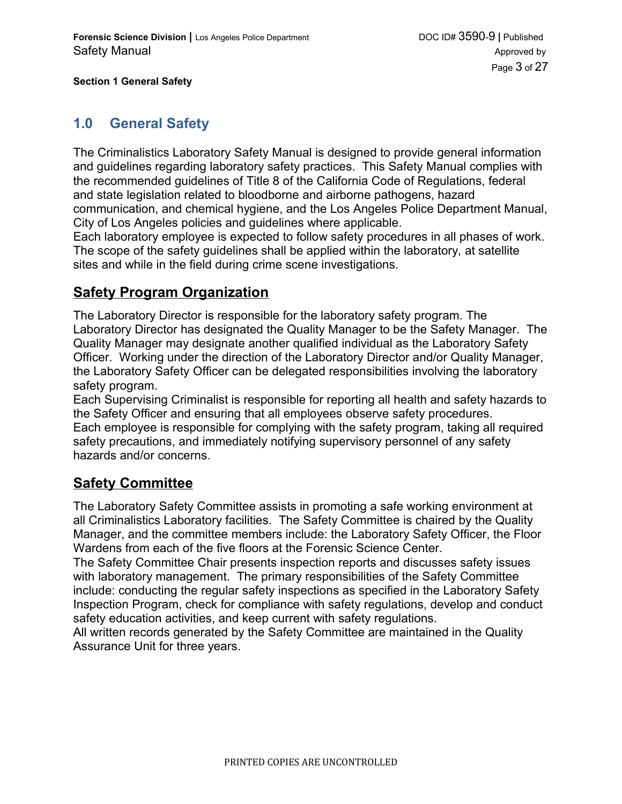### **1.0 General Safety**

The Criminalistics Laboratory Safety Manual is designed to provide general information and guidelines regarding laboratory safety practices. This Safety Manual complies with the recommended guidelines of Title 8 of the California Code of Regulations, federal and state legislation related to bloodborne and airborne pathogens, hazard communication, and chemical hygiene, and the Los Angeles Police Department Manual, City of Los Angeles policies and guidelines where applicable.

Each laboratory employee is expected to follow safety procedures in all phases of work. The scope of the safety guidelines shall be applied within the laboratory, at satellite sites and while in the field during crime scene investigations.

### **Safety Program Organization**

The Laboratory Director is responsible for the laboratory safety program. The Laboratory Director has designated the Quality Manager to be the Safety Manager. The Quality Manager may designate another qualified individual as the Laboratory Safety Officer. Working under the direction of the Laboratory Director and/or Quality Manager, the Laboratory Safety Officer can be delegated responsibilities involving the laboratory safety program.

Each Supervising Criminalist is responsible for reporting all health and safety hazards to the Safety Officer and ensuring that all employees observe safety procedures. Each employee is responsible for complying with the safety program, taking all required safety precautions, and immediately notifying supervisory personnel of any safety hazards and/or concerns.

### **Safety Committee**

The Laboratory Safety Committee assists in promoting a safe working environment at all Criminalistics Laboratory facilities. The Safety Committee is chaired by the Quality Manager, and the committee members include: the Laboratory Safety Officer, the Floor Wardens from each of the five floors at the Forensic Science Center.

The Safety Committee Chair presents inspection reports and discusses safety issues with laboratory management. The primary responsibilities of the Safety Committee include: conducting the regular safety inspections as specified in the Laboratory Safety Inspection Program, check for compliance with safety regulations, develop and conduct safety education activities, and keep current with safety regulations.

All written records generated by the Safety Committee are maintained in the Quality Assurance Unit for three years.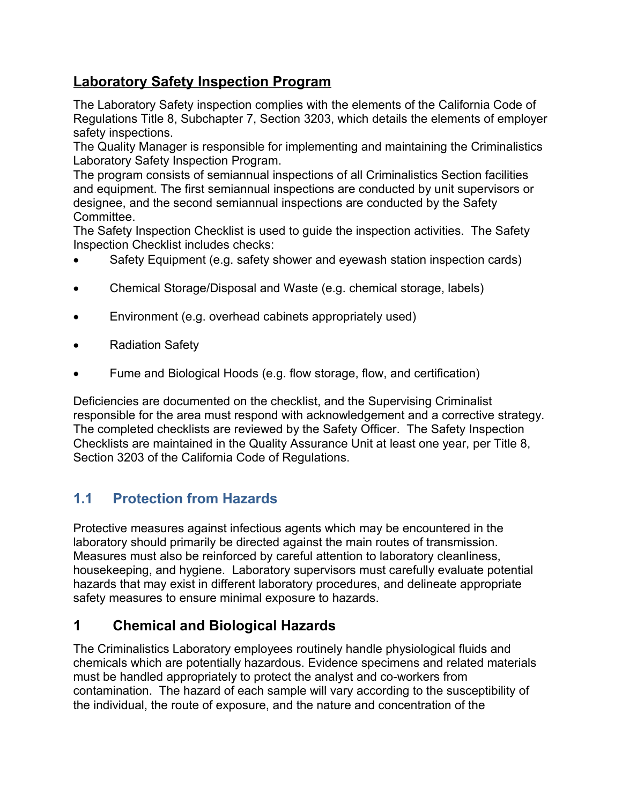# **Laboratory Safety Inspection Program**

The Laboratory Safety inspection complies with the elements of the California Code of Regulations Title 8, Subchapter 7, Section 3203, which details the elements of employer safety inspections.

The Quality Manager is responsible for implementing and maintaining the Criminalistics Laboratory Safety Inspection Program.

The program consists of semiannual inspections of all Criminalistics Section facilities and equipment. The first semiannual inspections are conducted by unit supervisors or designee, and the second semiannual inspections are conducted by the Safety Committee.

The Safety Inspection Checklist is used to guide the inspection activities. The Safety Inspection Checklist includes checks:

- Safety Equipment (e.g. safety shower and eyewash station inspection cards)
- Chemical Storage/Disposal and Waste (e.g. chemical storage, labels)
- Environment (e.g. overhead cabinets appropriately used)
- Radiation Safety
- Fume and Biological Hoods (e.g. flow storage, flow, and certification)

Deficiencies are documented on the checklist, and the Supervising Criminalist responsible for the area must respond with acknowledgement and a corrective strategy. The completed checklists are reviewed by the Safety Officer. The Safety Inspection Checklists are maintained in the Quality Assurance Unit at least one year, per Title 8, Section 3203 of the California Code of Regulations.

# **1.1 Protection from Hazards**

Protective measures against infectious agents which may be encountered in the laboratory should primarily be directed against the main routes of transmission. Measures must also be reinforced by careful attention to laboratory cleanliness, housekeeping, and hygiene. Laboratory supervisors must carefully evaluate potential hazards that may exist in different laboratory procedures, and delineate appropriate safety measures to ensure minimal exposure to hazards.

# **1 Chemical and Biological Hazards**

The Criminalistics Laboratory employees routinely handle physiological fluids and chemicals which are potentially hazardous. Evidence specimens and related materials must be handled appropriately to protect the analyst and co-workers from contamination. The hazard of each sample will vary according to the susceptibility of the individual, the route of exposure, and the nature and concentration of the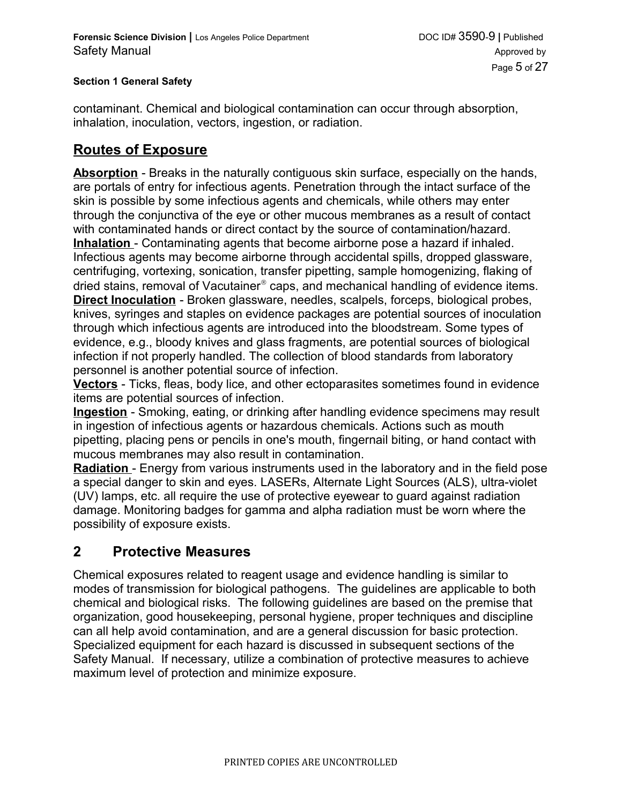contaminant. Chemical and biological contamination can occur through absorption, inhalation, inoculation, vectors, ingestion, or radiation.

### **Routes of Exposure**

**Absorption** - Breaks in the naturally contiguous skin surface, especially on the hands, are portals of entry for infectious agents. Penetration through the intact surface of the skin is possible by some infectious agents and chemicals, while others may enter through the conjunctiva of the eye or other mucous membranes as a result of contact with contaminated hands or direct contact by the source of contamination/hazard. **Inhalation** - Contaminating agents that become airborne pose a hazard if inhaled. Infectious agents may become airborne through accidental spills, dropped glassware, centrifuging, vortexing, sonication, transfer pipetting, sample homogenizing, flaking of dried stains, removal of Vacutainer® caps, and mechanical handling of evidence items. **Direct Inoculation** - Broken glassware, needles, scalpels, forceps, biological probes, knives, syringes and staples on evidence packages are potential sources of inoculation through which infectious agents are introduced into the bloodstream. Some types of evidence, e.g., bloody knives and glass fragments, are potential sources of biological infection if not properly handled. The collection of blood standards from laboratory personnel is another potential source of infection.

**Vectors** - Ticks, fleas, body lice, and other ectoparasites sometimes found in evidence items are potential sources of infection.

**Ingestion** - Smoking, eating, or drinking after handling evidence specimens may result in ingestion of infectious agents or hazardous chemicals. Actions such as mouth pipetting, placing pens or pencils in one's mouth, fingernail biting, or hand contact with mucous membranes may also result in contamination.

**Radiation** - Energy from various instruments used in the laboratory and in the field pose a special danger to skin and eyes. LASERs, Alternate Light Sources (ALS), ultra-violet (UV) lamps, etc. all require the use of protective eyewear to guard against radiation damage. Monitoring badges for gamma and alpha radiation must be worn where the possibility of exposure exists.

### **2 Protective Measures**

Chemical exposures related to reagent usage and evidence handling is similar to modes of transmission for biological pathogens. The guidelines are applicable to both chemical and biological risks. The following guidelines are based on the premise that organization, good housekeeping, personal hygiene, proper techniques and discipline can all help avoid contamination, and are a general discussion for basic protection. Specialized equipment for each hazard is discussed in subsequent sections of the Safety Manual. If necessary, utilize a combination of protective measures to achieve maximum level of protection and minimize exposure.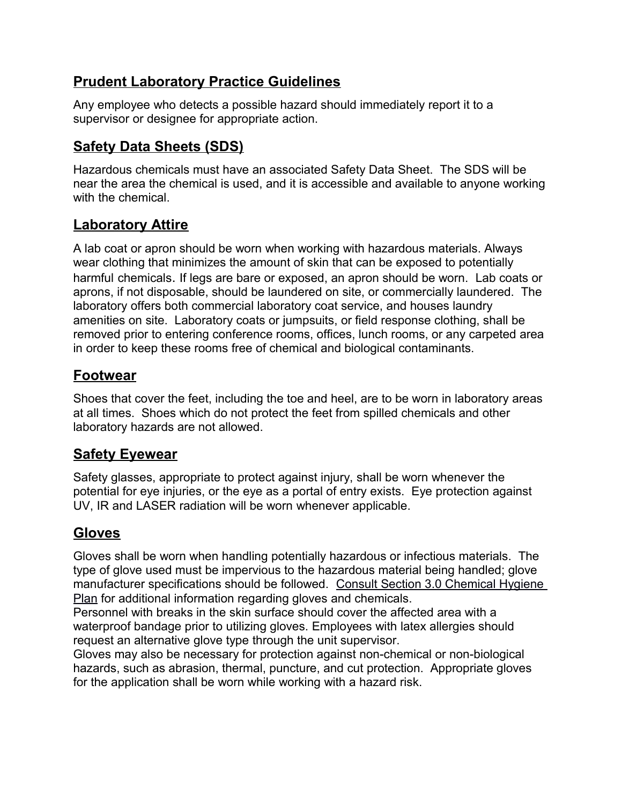# **Prudent Laboratory Practice Guidelines**

Any employee who detects a possible hazard should immediately report it to a supervisor or designee for appropriate action.

# **Safety Data Sheets (SDS)**

Hazardous chemicals must have an associated Safety Data Sheet. The SDS will be near the area the chemical is used, and it is accessible and available to anyone working with the chemical.

# **Laboratory Attire**

A lab coat or apron should be worn when working with hazardous materials. Always wear clothing that minimizes the amount of skin that can be exposed to potentially harmful chemicals. If legs are bare or exposed, an apron should be worn. Lab coats or aprons, if not disposable, should be laundered on site, or commercially laundered. The laboratory offers both commercial laboratory coat service, and houses laundry amenities on site. Laboratory coats or jumpsuits, or field response clothing, shall be removed prior to entering conference rooms, offices, lunch rooms, or any carpeted area in order to keep these rooms free of chemical and biological contaminants.

# **Footwear**

Shoes that cover the feet, including the toe and heel, are to be worn in laboratory areas at all times. Shoes which do not protect the feet from spilled chemicals and other laboratory hazards are not allowed.

# **Safety Eyewear**

Safety glasses, appropriate to protect against injury, shall be worn whenever the potential for eye injuries, or the eye as a portal of entry exists. Eye protection against UV, IR and LASER radiation will be worn whenever applicable.

# **Gloves**

Gloves shall be worn when handling potentially hazardous or infectious materials. The type of glove used must be impervious to the hazardous material being handled; glove manufacturer specifications should be followed. [Consult Section 3.0 Chemical Hygiene](http://10.250.71.210/Qualtrax/ShowDocument.aspx?ID=3581)  [Plan](http://10.250.71.210/Qualtrax/ShowDocument.aspx?ID=3581) for additional information regarding gloves and chemicals.

Personnel with breaks in the skin surface should cover the affected area with a waterproof bandage prior to utilizing gloves. Employees with latex allergies should request an alternative glove type through the unit supervisor.

Gloves may also be necessary for protection against non-chemical or non-biological hazards, such as abrasion, thermal, puncture, and cut protection. Appropriate gloves for the application shall be worn while working with a hazard risk.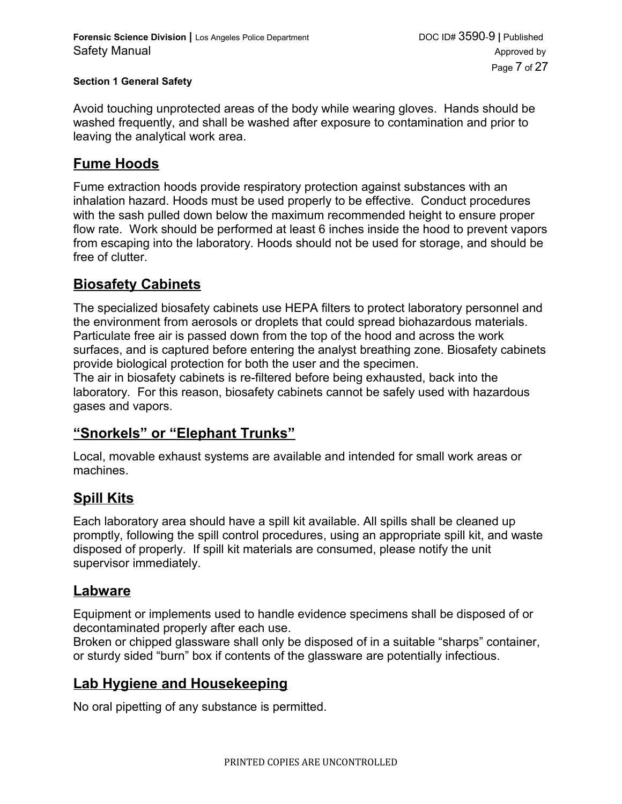Avoid touching unprotected areas of the body while wearing gloves. Hands should be washed frequently, and shall be washed after exposure to contamination and prior to leaving the analytical work area.

### **Fume Hoods**

Fume extraction hoods provide respiratory protection against substances with an inhalation hazard. Hoods must be used properly to be effective. Conduct procedures with the sash pulled down below the maximum recommended height to ensure proper flow rate. Work should be performed at least 6 inches inside the hood to prevent vapors from escaping into the laboratory. Hoods should not be used for storage, and should be free of clutter.

### **Biosafety Cabinets**

The specialized biosafety cabinets use HEPA filters to protect laboratory personnel and the environment from aerosols or droplets that could spread biohazardous materials. Particulate free air is passed down from the top of the hood and across the work surfaces, and is captured before entering the analyst breathing zone. Biosafety cabinets provide biological protection for both the user and the specimen.

The air in biosafety cabinets is re-filtered before being exhausted, back into the laboratory. For this reason, biosafety cabinets cannot be safely used with hazardous gases and vapors.

### **"Snorkels" or "Elephant Trunks"**

Local, movable exhaust systems are available and intended for small work areas or machines.

# **Spill Kits**

Each laboratory area should have a spill kit available. All spills shall be cleaned up promptly, following the [spill control procedures,](#page-8-0) using an appropriate spill kit, and waste disposed of properly. If spill kit materials are consumed, please notify the unit supervisor immediately.

### **Labware**

Equipment or implements used to handle evidence specimens shall be disposed of or decontaminated properly after each use.

Broken or chipped glassware shall only be disposed of in a suitable "sharps" container, or sturdy sided "burn" box if contents of the glassware are potentially infectious.

# **Lab Hygiene and Housekeeping**

No oral pipetting of any substance is permitted.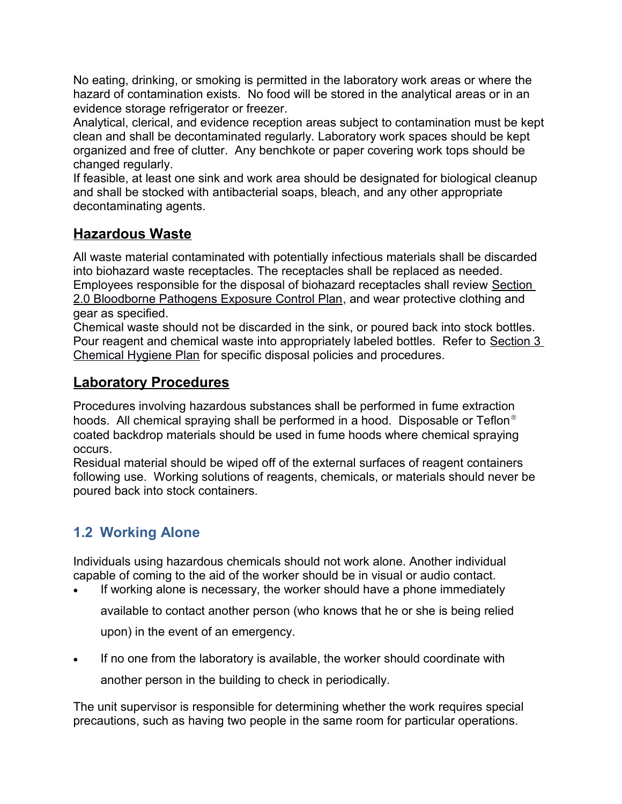No eating, drinking, or smoking is permitted in the laboratory work areas or where the hazard of contamination exists. No food will be stored in the analytical areas or in an evidence storage refrigerator or freezer.

Analytical, clerical, and evidence reception areas subject to contamination must be kept clean and shall be decontaminated regularly. Laboratory work spaces should be kept organized and free of clutter. Any benchkote or paper covering work tops should be changed regularly.

If feasible, at least one sink and work area should be designated for biological cleanup and shall be stocked with antibacterial soaps, bleach, and any other appropriate decontaminating agents.

# **Hazardous Waste**

All waste material contaminated with potentially infectious materials shall be discarded into biohazard waste receptacles. The receptacles shall be replaced as needed. Employees responsible for the disposal of biohazard receptacles shall review [Section](http://10.250.71.210/Qualtrax/ShowDocument.aspx?ID=3580)  [2.0 Bloodborne Pathogens Exposure Control Plan,](http://10.250.71.210/Qualtrax/ShowDocument.aspx?ID=3580) and wear protective clothing and gear as specified.

Chemical waste should not be discarded in the sink, or poured back into stock bottles. Pour reagent and chemical waste into appropriately labeled bottles. Refer to [Section 3](http://10.250.71.210/Qualtrax/ShowDocument.aspx?ID=3581)  [Chemical Hygiene Plan](http://10.250.71.210/Qualtrax/ShowDocument.aspx?ID=3581) for specific disposal policies and procedures.

# **Laboratory Procedures**

Procedures involving hazardous substances shall be performed in fume extraction hoods. All chemical spraying shall be performed in a hood. Disposable or Teflon<sup>®</sup> coated backdrop materials should be used in fume hoods where chemical spraying occurs.

Residual material should be wiped off of the external surfaces of reagent containers following use. Working solutions of reagents, chemicals, or materials should never be poured back into stock containers.

# **1.2 Working Alone**

Individuals using hazardous chemicals should not work alone. Another individual capable of coming to the aid of the worker should be in visual or audio contact.

- If working alone is necessary, the worker should have a phone immediately available to contact another person (who knows that he or she is being relied upon) in the event of an emergency.
- If no one from the laboratory is available, the worker should coordinate with another person in the building to check in periodically.

The unit supervisor is responsible for determining whether the work requires special precautions, such as having two people in the same room for particular operations.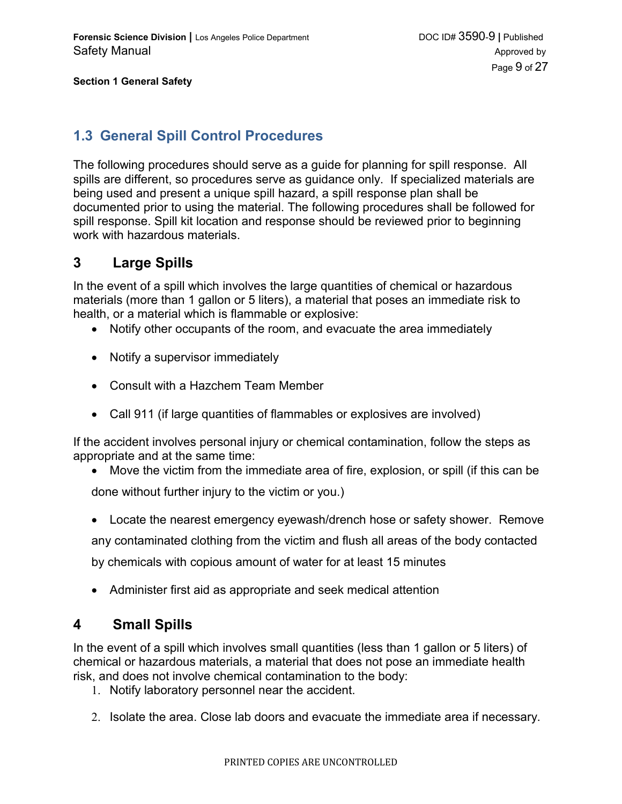### <span id="page-8-0"></span>**1.3 General Spill Control Procedures**

The following procedures should serve as a guide for planning for spill response. All spills are different, so procedures serve as guidance only. If specialized materials are being used and present a unique spill hazard, a spill response plan shall be documented prior to using the material. The following procedures shall be followed for spill response. Spill kit location and response should be reviewed prior to beginning work with hazardous materials.

### **3 Large Spills**

In the event of a spill which involves the large quantities of chemical or hazardous materials (more than 1 gallon or 5 liters), a material that poses an immediate risk to health, or a material which is flammable or explosive:

- Notify other occupants of the room, and evacuate the area immediately
- Notify a supervisor immediately
- Consult with a Hazchem Team Member
- Call 911 (if large quantities of flammables or explosives are involved)

If the accident involves personal injury or chemical contamination, follow the steps as appropriate and at the same time:

- Move the victim from the immediate area of fire, explosion, or spill (if this can be done without further injury to the victim or you.)
- Locate the nearest emergency eyewash/drench hose or safety shower. Remove any contaminated clothing from the victim and flush all areas of the body contacted by chemicals with copious amount of water for at least 15 minutes
- Administer first aid as appropriate and seek medical attention

### **4 Small Spills**

In the event of a spill which involves small quantities (less than 1 gallon or 5 liters) of chemical or hazardous materials, a material that does not pose an immediate health risk, and does not involve chemical contamination to the body:

- 1. Notify laboratory personnel near the accident.
- 2. Isolate the area. Close lab doors and evacuate the immediate area if necessary.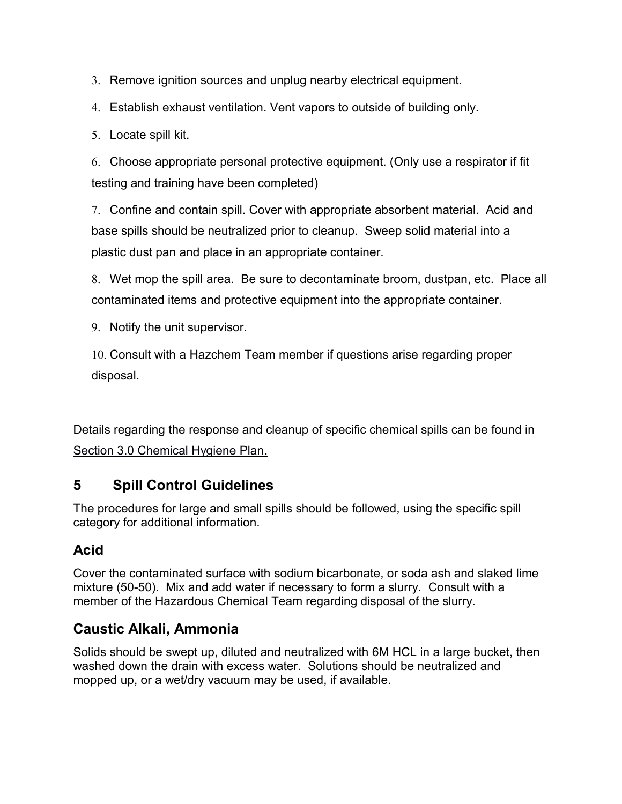3. Remove ignition sources and unplug nearby electrical equipment.

4. Establish exhaust ventilation. Vent vapors to outside of building only.

5. Locate spill kit.

6. Choose appropriate personal protective equipment. (Only use a respirator if fit testing and training have been completed)

7. Confine and contain spill. Cover with appropriate absorbent material. Acid and base spills should be neutralized prior to cleanup. Sweep solid material into a plastic dust pan and place in an appropriate container.

8. Wet mop the spill area. Be sure to decontaminate broom, dustpan, etc. Place all contaminated items and protective equipment into the appropriate container.

9. Notify the unit supervisor.

10. Consult with a Hazchem Team member if questions arise regarding proper disposal.

Details regarding the response and cleanup of specific chemical spills can be found in Section 3.0 Chemical Hygiene Plan.

# **5 Spill Control Guidelines**

The procedures for large and small spills should be followed, using the specific spill category for additional information.

# **Acid**

Cover the contaminated surface with sodium bicarbonate, or soda ash and slaked lime mixture (50-50). Mix and add water if necessary to form a slurry. Consult with a member of the Hazardous Chemical Team regarding disposal of the slurry.

# **Caustic Alkali, Ammonia**

Solids should be swept up, diluted and neutralized with 6M HCL in a large bucket, then washed down the drain with excess water. Solutions should be neutralized and mopped up, or a wet/dry vacuum may be used, if available.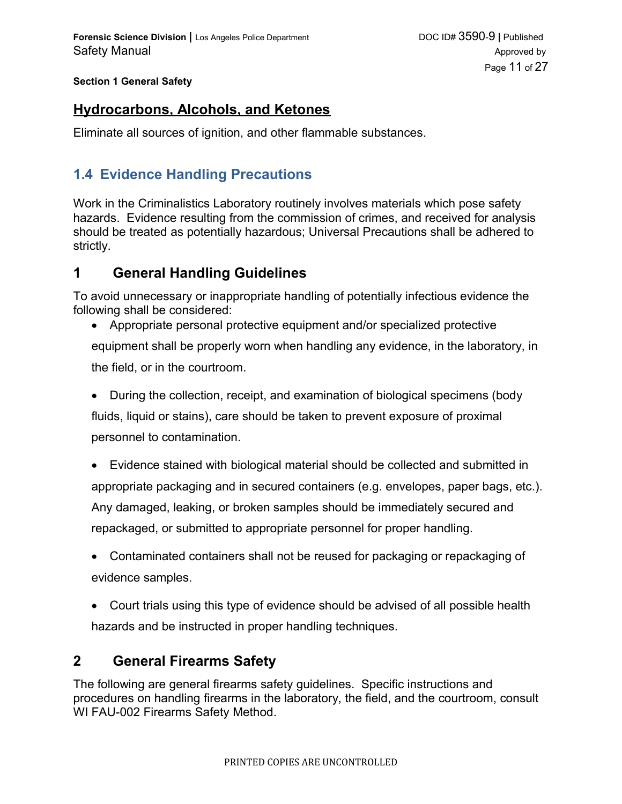### **Hydrocarbons, Alcohols, and Ketones**

Eliminate all sources of ignition, and other flammable substances.

# **1.4 Evidence Handling Precautions**

Work in the Criminalistics Laboratory routinely involves materials which pose safety hazards. Evidence resulting from the commission of crimes, and received for analysis should be treated as potentially hazardous; Universal Precautions shall be adhered to strictly.

### **1 General Handling Guidelines**

To avoid unnecessary or inappropriate handling of potentially infectious evidence the following shall be considered:

- Appropriate personal protective equipment and/or specialized protective equipment shall be properly worn when handling any evidence, in the laboratory, in the field, or in the courtroom.
- During the collection, receipt, and examination of biological specimens (body fluids, liquid or stains), care should be taken to prevent exposure of proximal personnel to contamination.
- Evidence stained with biological material should be collected and submitted in appropriate packaging and in secured containers (e.g. envelopes, paper bags, etc.). Any damaged, leaking, or broken samples should be immediately secured and repackaged, or submitted to appropriate personnel for proper handling.
- Contaminated containers shall not be reused for packaging or repackaging of evidence samples.
- Court trials using this type of evidence should be advised of all possible health hazards and be instructed in proper handling techniques.

# **2 General Firearms Safety**

The following are general firearms safety guidelines. Specific instructions and procedures on handling firearms in the laboratory, the field, and the courtroom, consult WI FAU-002 Firearms Safety Method.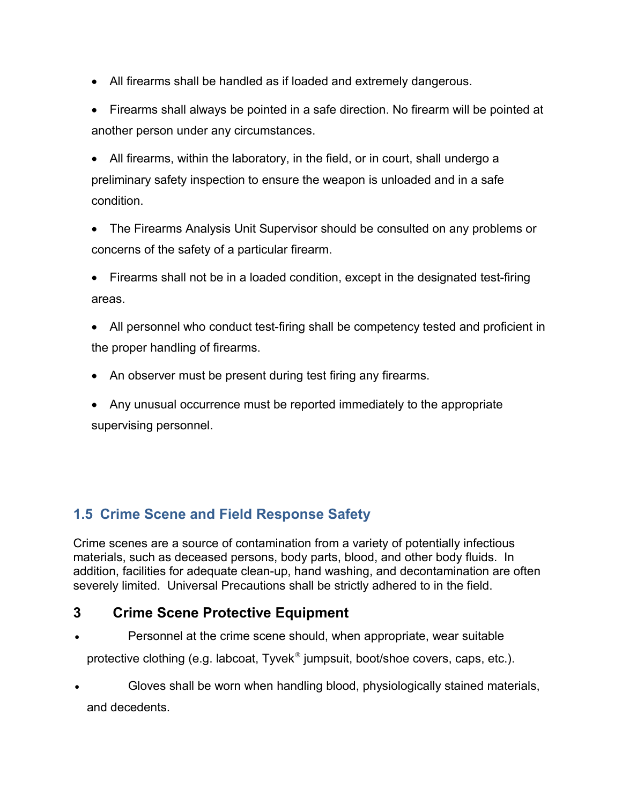- All firearms shall be handled as if loaded and extremely dangerous.
- Firearms shall always be pointed in a safe direction. No firearm will be pointed at another person under any circumstances.
- All firearms, within the laboratory, in the field, or in court, shall undergo a preliminary safety inspection to ensure the weapon is unloaded and in a safe condition.
- The Firearms Analysis Unit Supervisor should be consulted on any problems or concerns of the safety of a particular firearm.
- Firearms shall not be in a loaded condition, except in the designated test-firing areas.
- All personnel who conduct test-firing shall be competency tested and proficient in the proper handling of firearms.
- An observer must be present during test firing any firearms.
- Any unusual occurrence must be reported immediately to the appropriate supervising personnel.

# **1.5 Crime Scene and Field Response Safety**

Crime scenes are a source of contamination from a variety of potentially infectious materials, such as deceased persons, body parts, blood, and other body fluids. In addition, facilities for adequate clean-up, hand washing, and decontamination are often severely limited. Universal Precautions shall be strictly adhered to in the field.

# **3 Crime Scene Protective Equipment**

- Personnel at the crime scene should, when appropriate, wear suitable protective clothing (e.g. labcoat, Tyvek<sup>®</sup> jumpsuit, boot/shoe covers, caps, etc.).
- Gloves shall be worn when handling blood, physiologically stained materials, and decedents.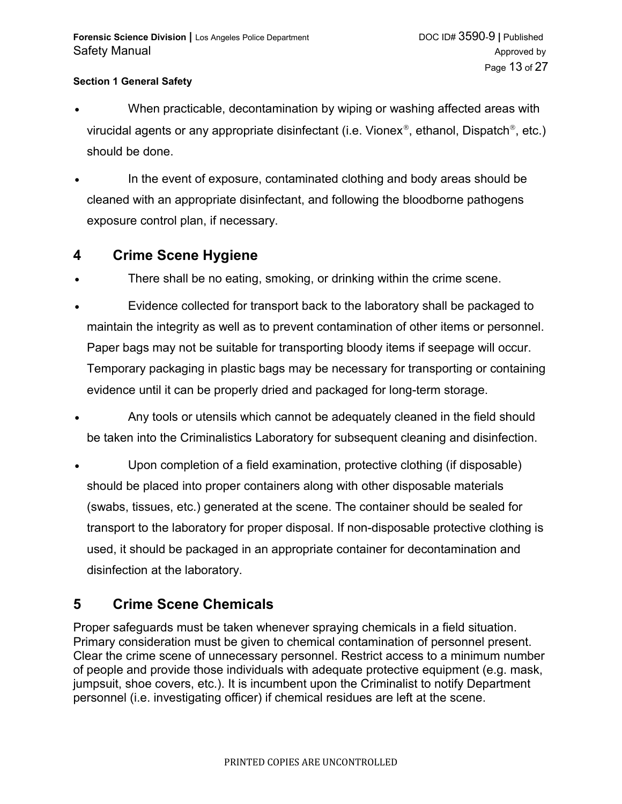- When practicable, decontamination by wiping or washing affected areas with virucidal agents or any appropriate disinfectant (i.e. Vionex®, ethanol, Dispatch®, etc.) should be done.
- In the event of exposure, contaminated clothing and body areas should be cleaned with an appropriate disinfectant, and following the bloodborne pathogens exposure control plan, if necessary.

### **4 Crime Scene Hygiene**

- There shall be no eating, smoking, or drinking within the crime scene.
- Evidence collected for transport back to the laboratory shall be packaged to maintain the integrity as well as to prevent contamination of other items or personnel. Paper bags may not be suitable for transporting bloody items if seepage will occur. Temporary packaging in plastic bags may be necessary for transporting or containing evidence until it can be properly dried and packaged for long-term storage.
- Any tools or utensils which cannot be adequately cleaned in the field should be taken into the Criminalistics Laboratory for subsequent cleaning and disinfection.
- Upon completion of a field examination, protective clothing (if disposable) should be placed into proper containers along with other disposable materials (swabs, tissues, etc.) generated at the scene. The container should be sealed for transport to the laboratory for proper disposal. If non-disposable protective clothing is used, it should be packaged in an appropriate container for decontamination and disinfection at the laboratory.

# **5 Crime Scene Chemicals**

Proper safeguards must be taken whenever spraying chemicals in a field situation. Primary consideration must be given to chemical contamination of personnel present. Clear the crime scene of unnecessary personnel. Restrict access to a minimum number of people and provide those individuals with adequate protective equipment (e.g. mask, jumpsuit, shoe covers, etc.). It is incumbent upon the Criminalist to notify Department personnel (i.e. investigating officer) if chemical residues are left at the scene.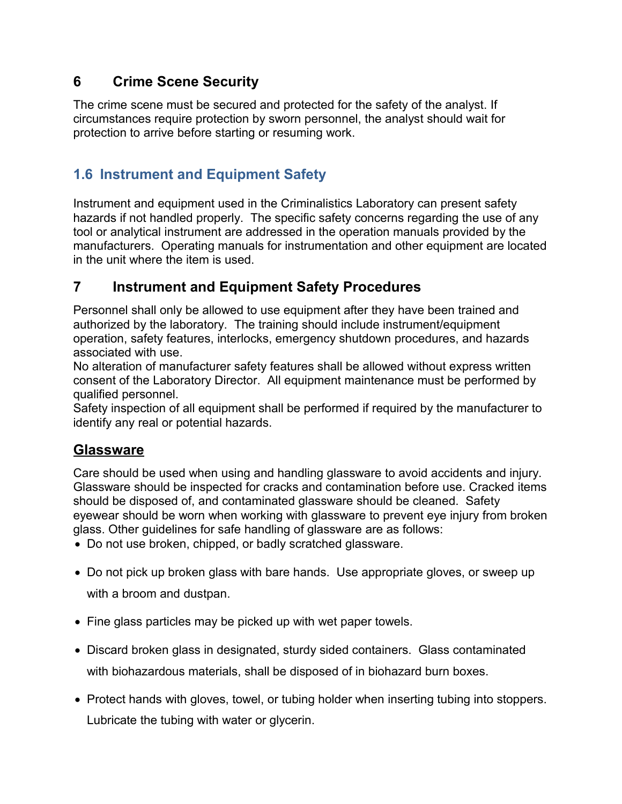# **6 Crime Scene Security**

The crime scene must be secured and protected for the safety of the analyst. If circumstances require protection by sworn personnel, the analyst should wait for protection to arrive before starting or resuming work.

# **1.6 Instrument and Equipment Safety**

Instrument and equipment used in the Criminalistics Laboratory can present safety hazards if not handled properly. The specific safety concerns regarding the use of any tool or analytical instrument are addressed in the operation manuals provided by the manufacturers. Operating manuals for instrumentation and other equipment are located in the unit where the item is used.

# **7 Instrument and Equipment Safety Procedures**

Personnel shall only be allowed to use equipment after they have been trained and authorized by the laboratory. The training should include instrument/equipment operation, safety features, interlocks, emergency shutdown procedures, and hazards associated with use.

No alteration of manufacturer safety features shall be allowed without express written consent of the Laboratory Director. All equipment maintenance must be performed by qualified personnel.

Safety inspection of all equipment shall be performed if required by the manufacturer to identify any real or potential hazards.

### **Glassware**

Care should be used when using and handling glassware to avoid accidents and injury. Glassware should be inspected for cracks and contamination before use. Cracked items should be disposed of, and contaminated glassware should be cleaned. Safety eyewear should be worn when working with glassware to prevent eye injury from broken glass. Other guidelines for safe handling of glassware are as follows:

Do not use broken, chipped, or badly scratched glassware.

- Do not pick up broken glass with bare hands. Use appropriate gloves, or sweep up with a broom and dustpan.
- Fine glass particles may be picked up with wet paper towels.
- Discard broken glass in designated, sturdy sided containers. Glass contaminated with biohazardous materials, shall be disposed of in biohazard burn boxes.
- Protect hands with gloves, towel, or tubing holder when inserting tubing into stoppers. Lubricate the tubing with water or glycerin.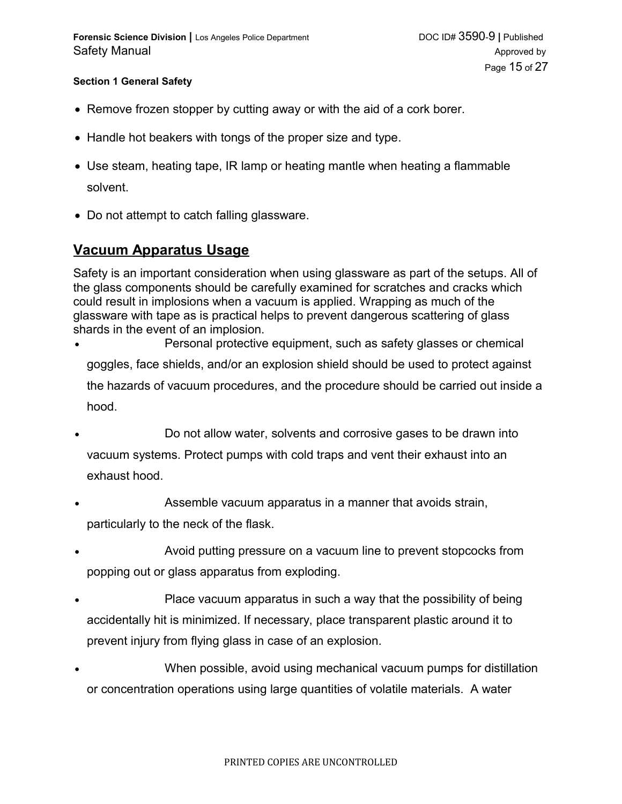- Remove frozen stopper by cutting away or with the aid of a cork borer.
- Handle hot beakers with tongs of the proper size and type.
- Use steam, heating tape, IR lamp or heating mantle when heating a flammable solvent.
- Do not attempt to catch falling glassware.

### **Vacuum Apparatus Usage**

Safety is an important consideration when using glassware as part of the setups. All of the glass components should be carefully examined for scratches and cracks which could result in implosions when a vacuum is applied. Wrapping as much of the glassware with tape as is practical helps to prevent dangerous scattering of glass shards in the event of an implosion.

- Personal protective equipment, such as safety glasses or chemical goggles, face shields, and/or an explosion shield should be used to protect against the hazards of vacuum procedures, and the procedure should be carried out inside a hood.
- Do not allow water, solvents and corrosive gases to be drawn into vacuum systems. Protect pumps with cold traps and vent their exhaust into an exhaust hood.
- Assemble vacuum apparatus in a manner that avoids strain, particularly to the neck of the flask.
- Avoid putting pressure on a vacuum line to prevent stopcocks from popping out or glass apparatus from exploding.
- Place vacuum apparatus in such a way that the possibility of being accidentally hit is minimized. If necessary, place transparent plastic around it to prevent injury from flying glass in case of an explosion.
- When possible, avoid using mechanical vacuum pumps for distillation or concentration operations using large quantities of volatile materials. A water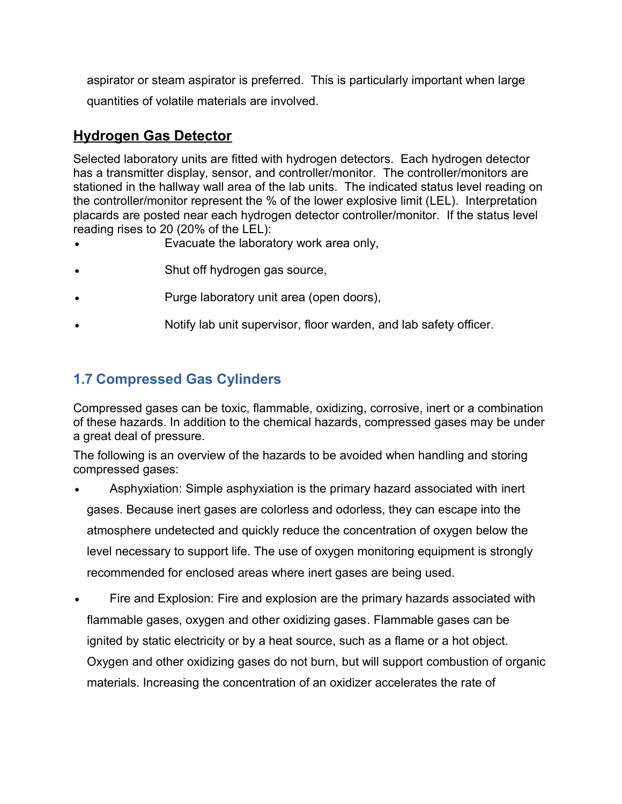aspirator or steam aspirator is preferred. This is particularly important when large quantities of volatile materials are involved.

# **Hydrogen Gas Detector**

Selected laboratory units are fitted with hydrogen detectors. Each hydrogen detector has a transmitter display, sensor, and controller/monitor. The controller/monitors are stationed in the hallway wall area of the lab units. The indicated status level reading on the controller/monitor represent the % of the lower explosive limit (LEL). Interpretation placards are posted near each hydrogen detector controller/monitor. If the status level reading rises to 20 (20% of the LEL):

- Evacuate the laboratory work area only,
- Shut off hydrogen gas source,
- Purge laboratory unit area (open doors),
- Notify lab unit supervisor, floor warden, and lab safety officer.

# **1.7 Compressed Gas Cylinders**

Compressed gases can be toxic, flammable, oxidizing, corrosive, inert or a combination of these hazards. In addition to the chemical hazards, compressed gases may be under a great deal of pressure.

The following is an overview of the hazards to be avoided when handling and storing compressed gases:

- Asphyxiation: Simple asphyxiation is the primary hazard associated with inert gases. Because inert gases are colorless and odorless, they can escape into the atmosphere undetected and quickly reduce the concentration of oxygen below the level necessary to support life. The use of oxygen monitoring equipment is strongly recommended for enclosed areas where inert gases are being used.
- Fire and Explosion: Fire and explosion are the primary hazards associated with flammable gases, oxygen and other oxidizing gases. Flammable gases can be ignited by static electricity or by a heat source, such as a flame or a hot object. Oxygen and other oxidizing gases do not burn, but will support combustion of organic materials. Increasing the concentration of an oxidizer accelerates the rate of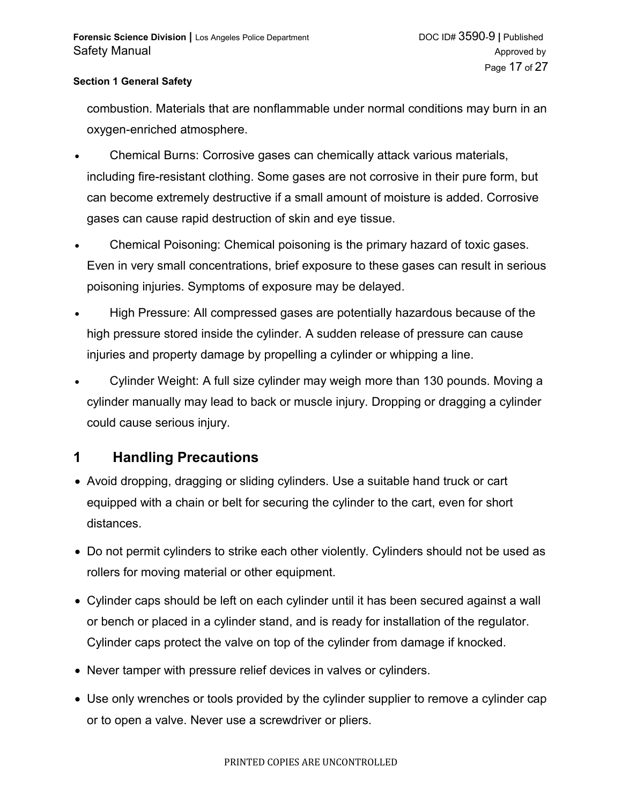combustion. Materials that are nonflammable under normal conditions may burn in an oxygen-enriched atmosphere.

- Chemical Burns: Corrosive gases can chemically attack various materials, including fire-resistant clothing. Some gases are not corrosive in their pure form, but can become extremely destructive if a small amount of moisture is added. Corrosive gases can cause rapid destruction of skin and eye tissue.
- Chemical Poisoning: Chemical poisoning is the primary hazard of toxic gases. Even in very small concentrations, brief exposure to these gases can result in serious poisoning injuries. Symptoms of exposure may be delayed.
- High Pressure: All compressed gases are potentially hazardous because of the high pressure stored inside the cylinder. A sudden release of pressure can cause injuries and property damage by propelling a cylinder or whipping a line.
- Cylinder Weight: A full size cylinder may weigh more than 130 pounds. Moving a cylinder manually may lead to back or muscle injury. Dropping or dragging a cylinder could cause serious injury.

### **1 Handling Precautions**

- Avoid dropping, dragging or sliding cylinders. Use a suitable hand truck or cart equipped with a chain or belt for securing the cylinder to the cart, even for short distances.
- Do not permit cylinders to strike each other violently. Cylinders should not be used as rollers for moving material or other equipment.
- Cylinder caps should be left on each cylinder until it has been secured against a wall or bench or placed in a cylinder stand, and is ready for installation of the regulator. Cylinder caps protect the valve on top of the cylinder from damage if knocked.
- Never tamper with pressure relief devices in valves or cylinders.
- Use only wrenches or tools provided by the cylinder supplier to remove a cylinder cap or to open a valve. Never use a screwdriver or pliers.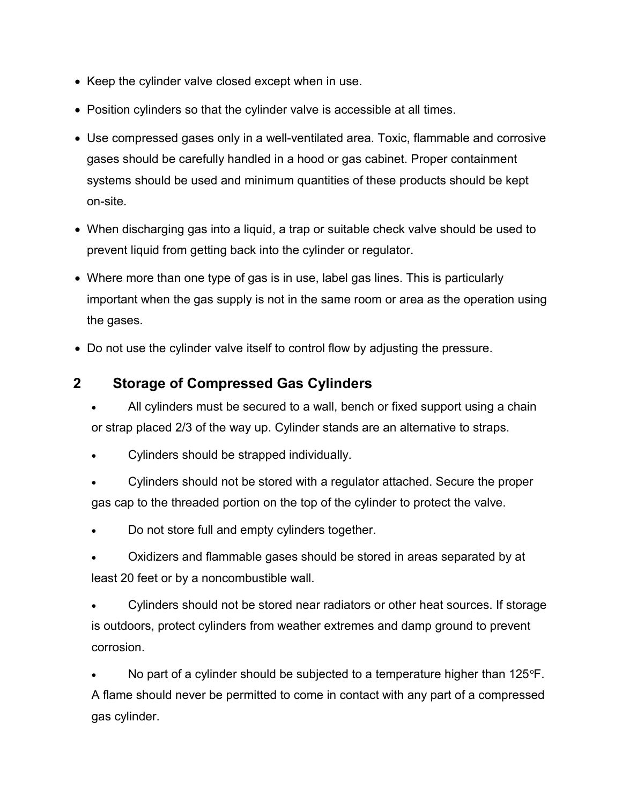- Keep the cylinder valve closed except when in use.
- Position cylinders so that the cylinder valve is accessible at all times.
- Use compressed gases only in a well-ventilated area. Toxic, flammable and corrosive gases should be carefully handled in a hood or gas cabinet. Proper containment systems should be used and minimum quantities of these products should be kept on-site.
- When discharging gas into a liquid, a trap or suitable check valve should be used to prevent liquid from getting back into the cylinder or regulator.
- Where more than one type of gas is in use, label gas lines. This is particularly important when the gas supply is not in the same room or area as the operation using the gases.
- Do not use the cylinder valve itself to control flow by adjusting the pressure.

### **2 Storage of Compressed Gas Cylinders**

- All cylinders must be secured to a wall, bench or fixed support using a chain or strap placed 2/3 of the way up. Cylinder stands are an alternative to straps.
- Cylinders should be strapped individually.
- Cylinders should not be stored with a regulator attached. Secure the proper gas cap to the threaded portion on the top of the cylinder to protect the valve.
- Do not store full and empty cylinders together.
- Oxidizers and flammable gases should be stored in areas separated by at least 20 feet or by a noncombustible wall.
- Cylinders should not be stored near radiators or other heat sources. If storage is outdoors, protect cylinders from weather extremes and damp ground to prevent corrosion.

No part of a cylinder should be subjected to a temperature higher than  $125^{\circ}F$ . A flame should never be permitted to come in contact with any part of a compressed gas cylinder.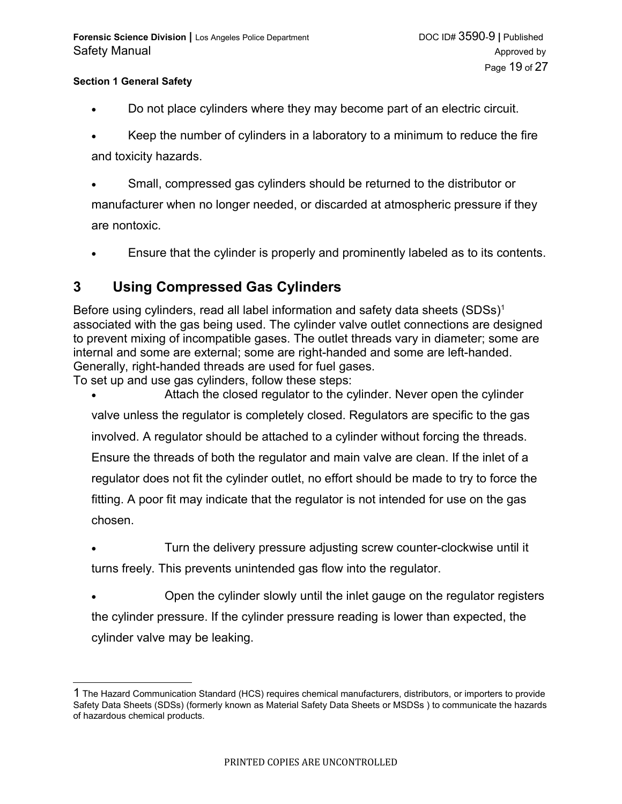- Do not place cylinders where they may become part of an electric circuit.
- Keep the number of cylinders in a laboratory to a minimum to reduce the fire and toxicity hazards.
- Small, compressed gas cylinders should be returned to the distributor or manufacturer when no longer needed, or discarded at atmospheric pressure if they are nontoxic.
- Ensure that the cylinder is properly and prominently labeled as to its contents.

### **3 Using Compressed Gas Cylinders**

Before using cylinders, read all label information and safety data sheets  $(SDSs)^{1}$  $(SDSs)^{1}$  $(SDSs)^{1}$ associated with the gas being used. The cylinder valve outlet connections are designed to prevent mixing of incompatible gases. The outlet threads vary in diameter; some are internal and some are external; some are right-handed and some are left-handed. Generally, right-handed threads are used for fuel gases.

To set up and use gas cylinders, follow these steps:

- Attach the closed regulator to the cylinder. Never open the cylinder valve unless the regulator is completely closed. Regulators are specific to the gas involved. A regulator should be attached to a cylinder without forcing the threads. Ensure the threads of both the regulator and main valve are clean. If the inlet of a regulator does not fit the cylinder outlet, no effort should be made to try to force the fitting. A poor fit may indicate that the regulator is not intended for use on the gas chosen.
- Turn the delivery pressure adjusting screw counter-clockwise until it turns freely. This prevents unintended gas flow into the regulator.
- Open the cylinder slowly until the inlet gauge on the regulator registers the cylinder pressure. If the cylinder pressure reading is lower than expected, the cylinder valve may be leaking.

<span id="page-18-0"></span><sup>1</sup> The Hazard Communication Standard (HCS) requires chemical manufacturers, distributors, or importers to provide Safety Data Sheets (SDSs) (formerly known as Material Safety Data Sheets or MSDSs ) to communicate the hazards of hazardous chemical products.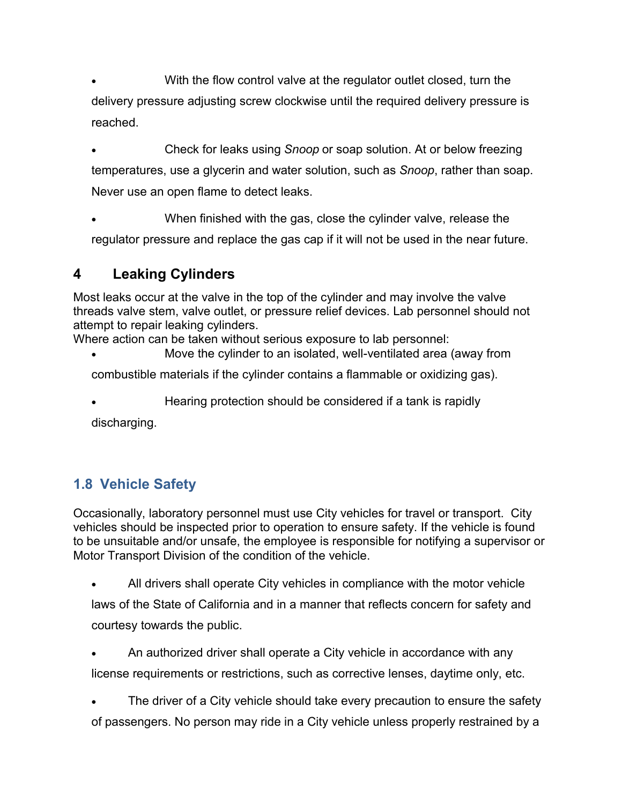With the flow control valve at the regulator outlet closed, turn the delivery pressure adjusting screw clockwise until the required delivery pressure is reached.

 Check for leaks using *Snoop* or soap solution. At or below freezing temperatures, use a glycerin and water solution, such as *Snoop*, rather than soap. Never use an open flame to detect leaks.

 When finished with the gas, close the cylinder valve, release the regulator pressure and replace the gas cap if it will not be used in the near future.

# **4 Leaking Cylinders**

Most leaks occur at the valve in the top of the cylinder and may involve the valve threads valve stem, valve outlet, or pressure relief devices. Lab personnel should not attempt to repair leaking cylinders.

Where action can be taken without serious exposure to lab personnel:

Move the cylinder to an isolated, well-ventilated area (away from

combustible materials if the cylinder contains a flammable or oxidizing gas).

Hearing protection should be considered if a tank is rapidly

discharging.

# **1.8 Vehicle Safety**

Occasionally, laboratory personnel must use City vehicles for travel or transport. City vehicles should be inspected prior to operation to ensure safety. If the vehicle is found to be unsuitable and/or unsafe, the employee is responsible for notifying a supervisor or Motor Transport Division of the condition of the vehicle.

- All drivers shall operate City vehicles in compliance with the motor vehicle laws of the State of California and in a manner that reflects concern for safety and courtesy towards the public.
- An authorized driver shall operate a City vehicle in accordance with any license requirements or restrictions, such as corrective lenses, daytime only, etc.
- The driver of a City vehicle should take every precaution to ensure the safety of passengers. No person may ride in a City vehicle unless properly restrained by a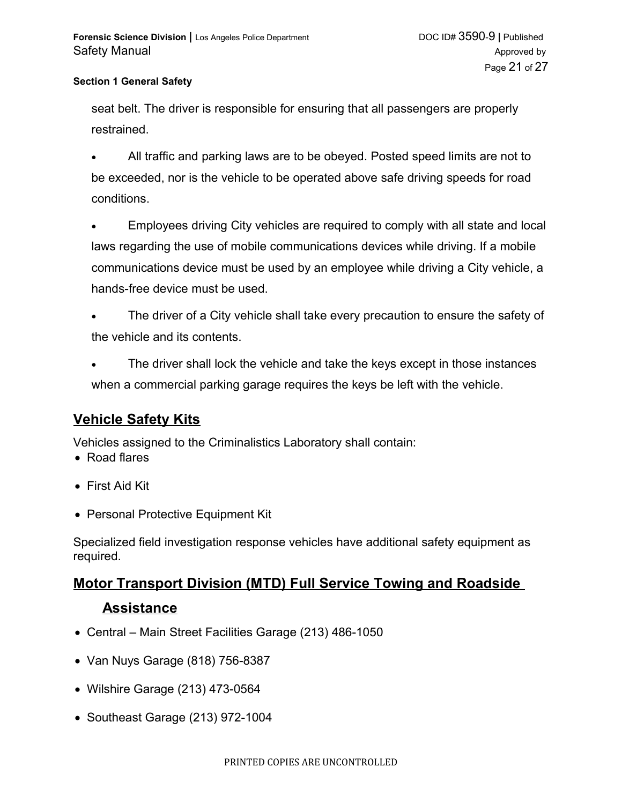seat belt. The driver is responsible for ensuring that all passengers are properly restrained.

 All traffic and parking laws are to be obeyed. Posted speed limits are not to be exceeded, nor is the vehicle to be operated above safe driving speeds for road conditions.

 Employees driving City vehicles are required to comply with all state and local laws regarding the use of mobile communications devices while driving. If a mobile communications device must be used by an employee while driving a City vehicle, a hands-free device must be used.

- The driver of a City vehicle shall take every precaution to ensure the safety of the vehicle and its contents.
- The driver shall lock the vehicle and take the keys except in those instances when a commercial parking garage requires the keys be left with the vehicle.

# **Vehicle Safety Kits**

Vehicles assigned to the Criminalistics Laboratory shall contain:

- Road flares
- First Aid Kit
- Personal Protective Equipment Kit

Specialized field investigation response vehicles have additional safety equipment as required.

# **Motor Transport Division (MTD) Full Service Towing and Roadside**

### **Assistance**

- Central Main Street Facilities Garage (213) 486-1050
- Van Nuys Garage (818) 756-8387
- Wilshire Garage (213) 473-0564
- Southeast Garage (213) 972-1004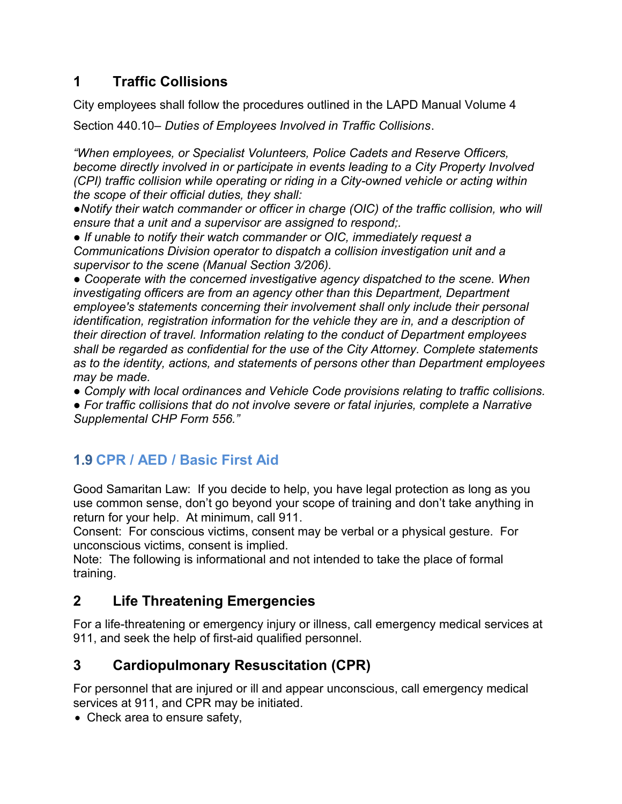# **1 Traffic Collisions**

City employees shall follow the procedures outlined in the LAPD Manual Volume 4

Section 440.10– *Duties of Employees Involved in Traffic Collisions*.

*"When employees, or Specialist Volunteers, Police Cadets and Reserve Officers, become directly involved in or participate in events leading to a City Property Involved (CPI) traffic collision while operating or riding in a City-owned vehicle or acting within the scope of their official duties, they shall:*

*●Notify their watch commander or officer in charge (OIC) of the traffic collision, who will ensure that a unit and a supervisor are assigned to respond;.*

*● If unable to notify their watch commander or OIC, immediately request a Communications Division operator to dispatch a collision investigation unit and a supervisor to the scene (Manual Section 3/206).* 

*● Cooperate with the concerned investigative agency dispatched to the scene. When investigating officers are from an agency other than this Department, Department employee's statements concerning their involvement shall only include their personal identification, registration information for the vehicle they are in, and a description of their direction of travel. Information relating to the conduct of Department employees shall be regarded as confidential for the use of the City Attorney. Complete statements as to the identity, actions, and statements of persons other than Department employees may be made.* 

*● Comply with local ordinances and Vehicle Code provisions relating to traffic collisions.*

*● For traffic collisions that do not involve severe or fatal injuries, complete a Narrative Supplemental CHP Form 556."*

# **1.9 CPR / AED / Basic First Aid**

Good Samaritan Law: If you decide to help, you have legal protection as long as you use common sense, don't go beyond your scope of training and don't take anything in return for your help. At minimum, call 911.

Consent: For conscious victims, consent may be verbal or a physical gesture. For unconscious victims, consent is implied.

Note: The following is informational and not intended to take the place of formal training.

# **2 Life Threatening Emergencies**

For a life-threatening or emergency injury or illness, call emergency medical services at 911, and seek the help of first-aid qualified personnel.

# **3 Cardiopulmonary Resuscitation (CPR)**

For personnel that are injured or ill and appear unconscious, call emergency medical services at 911, and CPR may be initiated.

• Check area to ensure safety,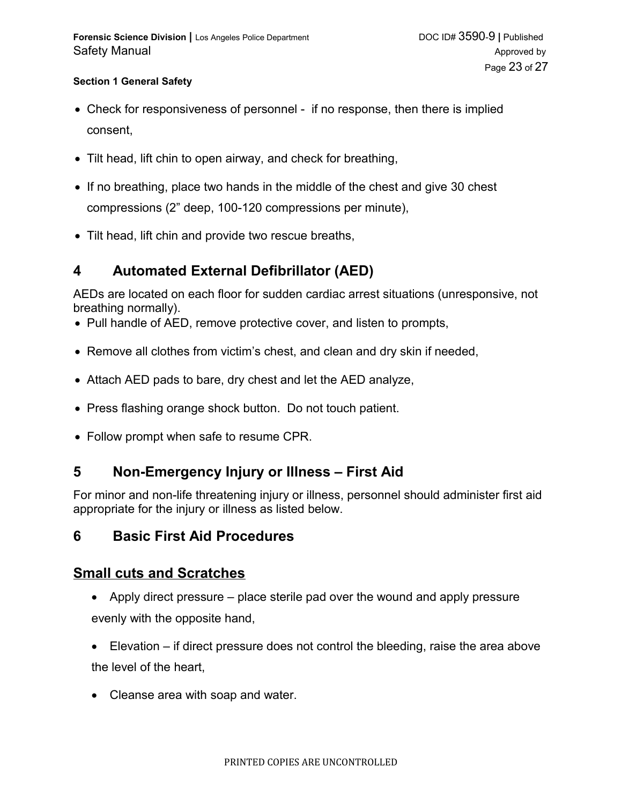- Check for responsiveness of personnel if no response, then there is implied consent,
- Tilt head, lift chin to open airway, and check for breathing,
- If no breathing, place two hands in the middle of the chest and give 30 chest compressions (2" deep, 100-120 compressions per minute),
- Tilt head, lift chin and provide two rescue breaths,

### **4 Automated External Defibrillator (AED)**

AEDs are located on each floor for sudden cardiac arrest situations (unresponsive, not breathing normally).

- Pull handle of AED, remove protective cover, and listen to prompts,
- Remove all clothes from victim's chest, and clean and dry skin if needed,
- Attach AED pads to bare, dry chest and let the AED analyze,
- Press flashing orange shock button. Do not touch patient.
- Follow prompt when safe to resume CPR.

### **5 Non-Emergency Injury or Illness – First Aid**

For minor and non-life threatening injury or illness, personnel should administer first aid appropriate for the injury or illness as listed below.

### **6 Basic First Aid Procedures**

### **Small cuts and Scratches**

- Apply direct pressure place sterile pad over the wound and apply pressure evenly with the opposite hand,
- Elevation if direct pressure does not control the bleeding, raise the area above the level of the heart,
- Cleanse area with soap and water.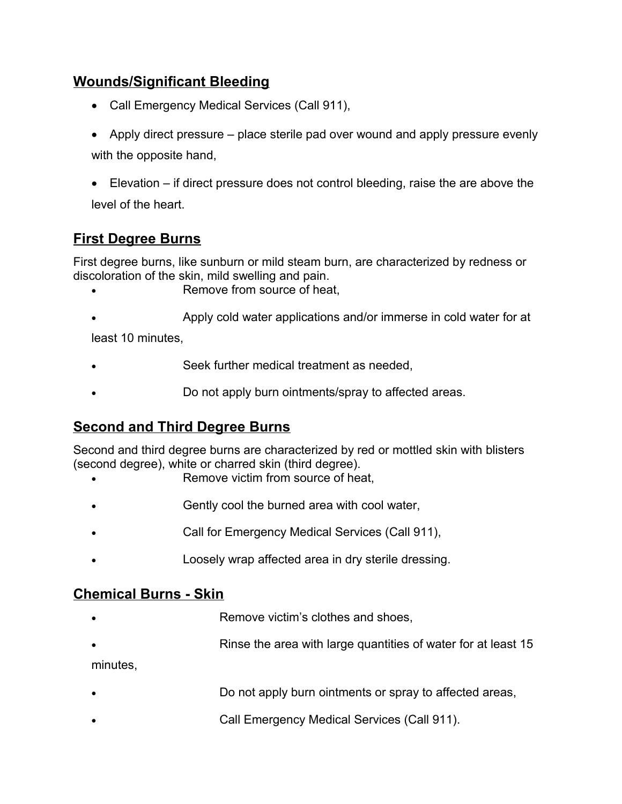### **Wounds/Significant Bleeding**

- Call Emergency Medical Services (Call 911),
- Apply direct pressure place sterile pad over wound and apply pressure evenly with the opposite hand,
- Elevation if direct pressure does not control bleeding, raise the are above the level of the heart.

### **First Degree Burns**

First degree burns, like sunburn or mild steam burn, are characterized by redness or discoloration of the skin, mild swelling and pain.

- Remove from source of heat,
- Apply cold water applications and/or immerse in cold water for at

least 10 minutes,

- Seek further medical treatment as needed,
- Do not apply burn ointments/spray to affected areas.

### **Second and Third Degree Burns**

Second and third degree burns are characterized by red or mottled skin with blisters (second degree), white or charred skin (third degree).

- Remove victim from source of heat,
- Gently cool the burned area with cool water,
- Call for Emergency Medical Services (Call 911),
- Loosely wrap affected area in dry sterile dressing.

### **Chemical Burns - Skin**

- Remove victim's clothes and shoes,
- Rinse the area with large quantities of water for at least 15

minutes,

- Do not apply burn ointments or spray to affected areas,
- Call Emergency Medical Services (Call 911).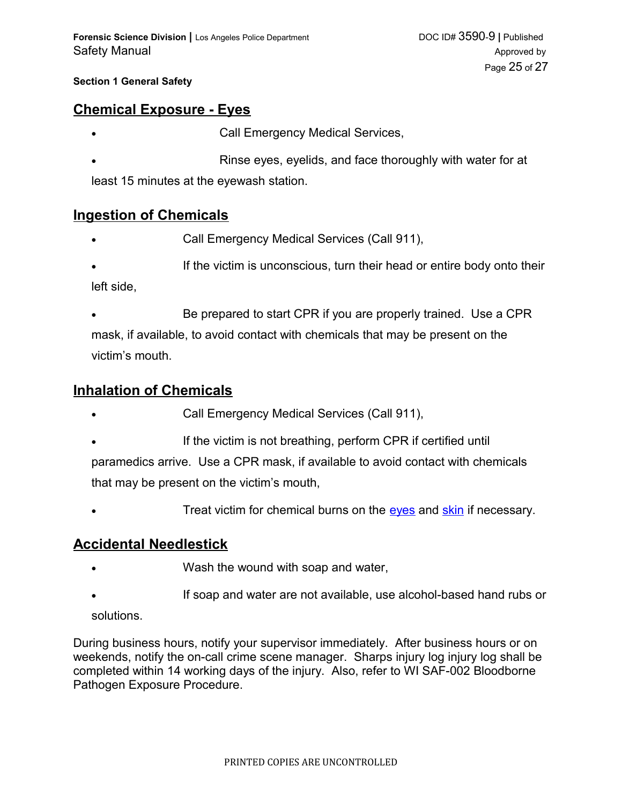### **Chemical Exposure - Eyes**

- Call Emergency Medical Services,
- Rinse eyes, eyelids, and face thoroughly with water for at least 15 minutes at the eyewash station.

### **Ingestion of Chemicals**

- Call Emergency Medical Services (Call 911),
- If the victim is unconscious, turn their head or entire body onto their left side,
- Be prepared to start CPR if you are properly trained. Use a CPR mask, if available, to avoid contact with chemicals that may be present on the victim's mouth.

### **Inhalation of Chemicals**

- Call Emergency Medical Services (Call 911),
- If the victim is not breathing, perform CPR if certified until paramedics arrive. Use a CPR mask, if available to avoid contact with chemicals that may be present on the victim's mouth,
- <span id="page-24-1"></span><span id="page-24-0"></span>• Treat victim for chemical burns on the [eyes](#page-24-1) and [skin](#page-24-0) if necessary.

### **Accidental Needlestick**

- Wash the wound with soap and water,
- If soap and water are not available, use alcohol-based hand rubs or

solutions.

During business hours, notify your supervisor immediately. After business hours or on weekends, notify the on-call crime scene manager. Sharps injury log injury log shall be completed within 14 working days of the injury. Also, refer to WI SAF-002 Bloodborne Pathogen Exposure Procedure.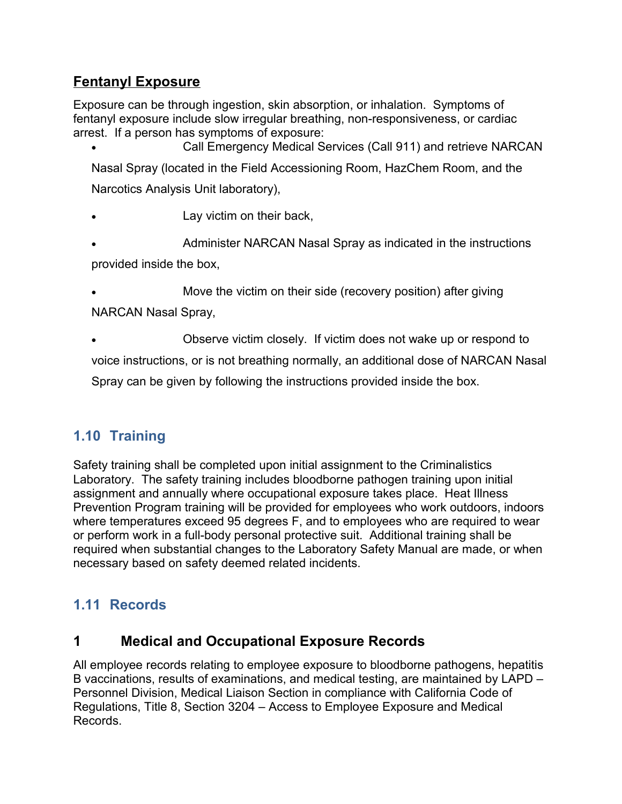# **Fentanyl Exposure**

Exposure can be through ingestion, skin absorption, or inhalation. Symptoms of fentanyl exposure include slow irregular breathing, non-responsiveness, or cardiac arrest. If a person has symptoms of exposure:

 Call Emergency Medical Services (Call 911) and retrieve NARCAN Nasal Spray (located in the Field Accessioning Room, HazChem Room, and the Narcotics Analysis Unit laboratory),

Lay victim on their back,

 Administer NARCAN Nasal Spray as indicated in the instructions provided inside the box,

 Move the victim on their side (recovery position) after giving NARCAN Nasal Spray,

 Observe victim closely. If victim does not wake up or respond to voice instructions, or is not breathing normally, an additional dose of NARCAN Nasal Spray can be given by following the instructions provided inside the box.

# **1.10 Training**

Safety training shall be completed upon initial assignment to the Criminalistics Laboratory. The safety training includes bloodborne pathogen training upon initial assignment and annually where occupational exposure takes place. Heat Illness Prevention Program training will be provided for employees who work outdoors, indoors where temperatures exceed 95 degrees F, and to employees who are required to wear or perform work in a full-body personal protective suit. Additional training shall be required when substantial changes to the Laboratory Safety Manual are made, or when necessary based on safety deemed related incidents.

# **1.11 Records**

# **1 Medical and Occupational Exposure Records**

All employee records relating to employee exposure to bloodborne pathogens, hepatitis B vaccinations, results of examinations, and medical testing, are maintained by LAPD – Personnel Division, Medical Liaison Section in compliance with California Code of Regulations, Title 8, Section 3204 – Access to Employee Exposure and Medical Records.